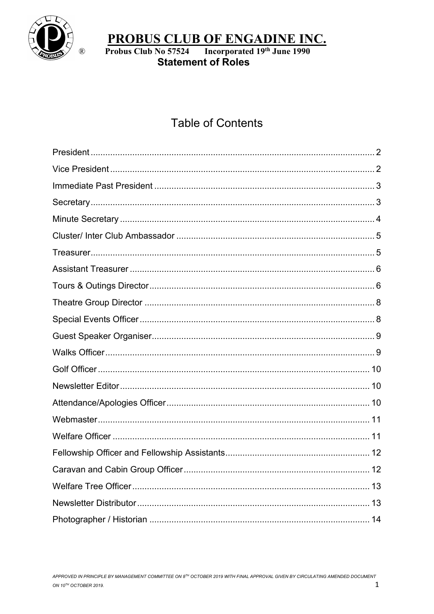

**Statement of Roles** 

# **Table of Contents**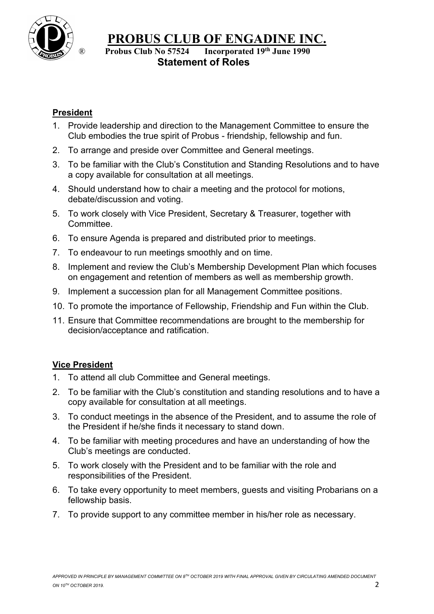

#### ® **Probus Club No 57524 Incorporated 19th June 1990 Statement of Roles**

### <span id="page-1-0"></span>**President**

- 1. Provide leadership and direction to the Management Committee to ensure the Club embodies the true spirit of Probus - friendship, fellowship and fun.
- 2. To arrange and preside over Committee and General meetings.
- 3. To be familiar with the Club's Constitution and Standing Resolutions and to have a copy available for consultation at all meetings.
- 4. Should understand how to chair a meeting and the protocol for motions, debate/discussion and voting.
- 5. To work closely with Vice President, Secretary & Treasurer, together with **Committee.**
- 6. To ensure Agenda is prepared and distributed prior to meetings.
- 7. To endeavour to run meetings smoothly and on time.
- 8. Implement and review the Club's Membership Development Plan which focuses on engagement and retention of members as well as membership growth.
- 9. Implement a succession plan for all Management Committee positions.
- 10. To promote the importance of Fellowship, Friendship and Fun within the Club.
- 11. Ensure that Committee recommendations are brought to the membership for decision/acceptance and ratification.

#### <span id="page-1-1"></span>**Vice President**

- 1. To attend all club Committee and General meetings.
- 2. To be familiar with the Club's constitution and standing resolutions and to have a copy available for consultation at all meetings.
- 3. To conduct meetings in the absence of the President, and to assume the role of the President if he/she finds it necessary to stand down.
- 4. To be familiar with meeting procedures and have an understanding of how the Club's meetings are conducted.
- 5. To work closely with the President and to be familiar with the role and responsibilities of the President.
- 6. To take every opportunity to meet members, guests and visiting Probarians on a fellowship basis.
- 7. To provide support to any committee member in his/her role as necessary.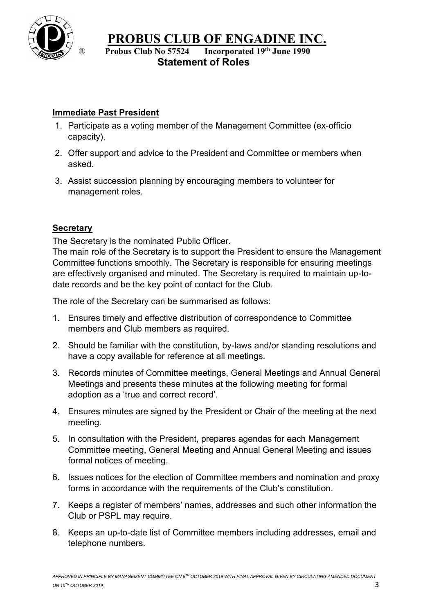

® **Probus Club No 57524 Incorporated 19th June 1990 Statement of Roles**

# <span id="page-2-0"></span>**Immediate Past President**

- 1. Participate as a voting member of the Management Committee (ex-officio capacity).
- 2. Offer support and advice to the President and Committee or members when asked.
- 3. Assist succession planning by encouraging members to volunteer for management roles.

# <span id="page-2-1"></span>**Secretary**

The Secretary is the nominated Public Officer.

The main role of the Secretary is to support the President to ensure the Management Committee functions smoothly. The Secretary is responsible for ensuring meetings are effectively organised and minuted. The Secretary is required to maintain up-todate records and be the key point of contact for the Club.

The role of the Secretary can be summarised as follows:

- 1. Ensures timely and effective distribution of correspondence to Committee members and Club members as required.
- 2. Should be familiar with the constitution, by-laws and/or standing resolutions and have a copy available for reference at all meetings.
- 3. Records minutes of Committee meetings, General Meetings and Annual General Meetings and presents these minutes at the following meeting for formal adoption as a 'true and correct record'.
- 4. Ensures minutes are signed by the President or Chair of the meeting at the next meeting.
- 5. In consultation with the President, prepares agendas for each Management Committee meeting, General Meeting and Annual General Meeting and issues formal notices of meeting.
- 6. Issues notices for the election of Committee members and nomination and proxy forms in accordance with the requirements of the Club's constitution.
- 7. Keeps a register of members' names, addresses and such other information the Club or PSPL may require.
- 8. Keeps an up-to-date list of Committee members including addresses, email and telephone numbers.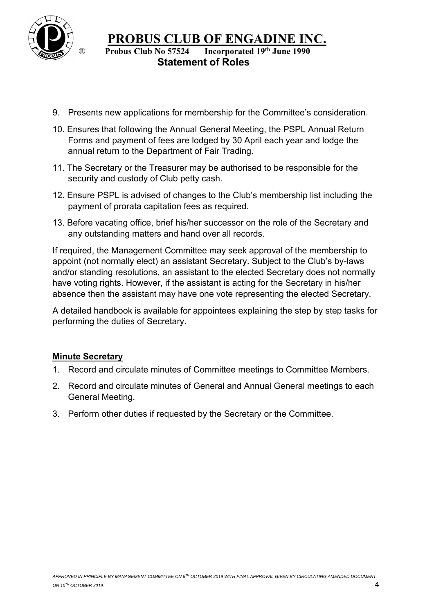

#### ® **Probus Club No 57524 Incorporated 19th June 1990 Statement of Roles**

- 9. Presents new applications for membership for the Committee's consideration.
- 10. Ensures that following the Annual General Meeting, the PSPL Annual Return Forms and payment of fees are lodged by 30 April each year and lodge the annual return to the Department of Fair Trading.
- 11. The Secretary or the Treasurer may be authorised to be responsible for the security and custody of Club petty cash.
- 12. Ensure PSPL is advised of changes to the Club's membership list including the payment of prorata capitation fees as required.
- 13. Before vacating office, brief his/her successor on the role of the Secretary and any outstanding matters and hand over all records.

If required, the Management Committee may seek approval of the membership to appoint (not normally elect) an assistant Secretary. Subject to the Club's by-laws and/or standing resolutions, an assistant to the elected Secretary does not normally have voting rights. However, if the assistant is acting for the Secretary in his/her absence then the assistant may have one vote representing the elected Secretary.

A detailed handbook is available for appointees explaining the step by step tasks for performing the duties of Secretary.

#### <span id="page-3-0"></span>**Minute Secretary**

- 1. Record and circulate minutes of Committee meetings to Committee Members.
- 2. Record and circulate minutes of General and Annual General meetings to each General Meeting.
- 3. Perform other duties if requested by the Secretary or the Committee.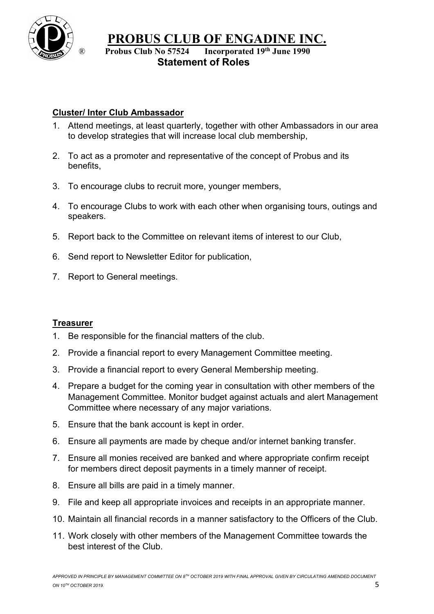

® **Probus Club No 57524 Incorporated 19th June 1990 Statement of Roles**

#### <span id="page-4-0"></span>**Cluster/ Inter Club Ambassador**

- 1. Attend meetings, at least quarterly, together with other Ambassadors in our area to develop strategies that will increase local club membership,
- 2. To act as a promoter and representative of the concept of Probus and its benefits,
- 3. To encourage clubs to recruit more, younger members,
- 4. To encourage Clubs to work with each other when organising tours, outings and speakers.
- 5. Report back to the Committee on relevant items of interest to our Club,
- 6. Send report to Newsletter Editor for publication,
- 7. Report to General meetings.

#### <span id="page-4-1"></span>**Treasurer**

- 1. Be responsible for the financial matters of the club.
- 2. Provide a financial report to every Management Committee meeting.
- 3. Provide a financial report to every General Membership meeting.
- 4. Prepare a budget for the coming year in consultation with other members of the Management Committee. Monitor budget against actuals and alert Management Committee where necessary of any major variations.
- 5. Ensure that the bank account is kept in order.
- 6. Ensure all payments are made by cheque and/or internet banking transfer.
- 7. Ensure all monies received are banked and where appropriate confirm receipt for members direct deposit payments in a timely manner of receipt.
- 8. Ensure all bills are paid in a timely manner.
- 9. File and keep all appropriate invoices and receipts in an appropriate manner.
- 10. Maintain all financial records in a manner satisfactory to the Officers of the Club.
- <span id="page-4-2"></span>11. Work closely with other members of the Management Committee towards the best interest of the Club.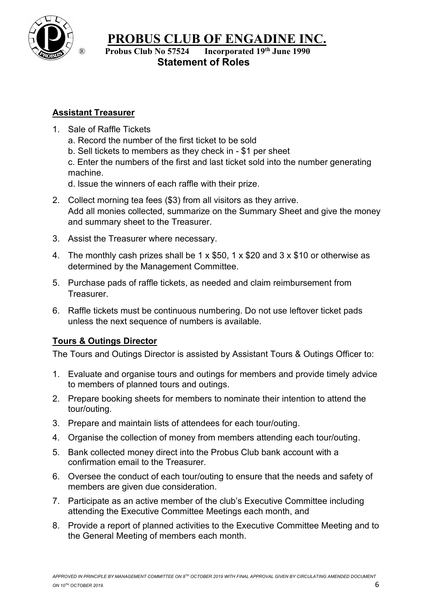

® **Probus Club No 57524 Incorporated 19th June 1990 Statement of Roles**

# **Assistant Treasurer**

- 1. Sale of Raffle Tickets
	- a. Record the number of the first ticket to be sold
	- b. Sell tickets to members as they check in \$1 per sheet

c. Enter the numbers of the first and last ticket sold into the number generating machine.

- d. lssue the winners of each raffle with their prize.
- 2. Collect morning tea fees (\$3) from all visitors as they arrive. Add all monies collected, summarize on the Summary Sheet and give the money and summary sheet to the Treasurer.
- 3. Assist the Treasurer where necessary.
- 4. The monthly cash prizes shall be 1 x \$50, 1 x \$20 and 3 x \$10 or otherwise as determined by the Management Committee.
- 5. Purchase pads of raffle tickets, as needed and claim reimbursement from **Treasurer.**
- 6. Raffle tickets must be continuous numbering. Do not use leftover ticket pads unless the next sequence of numbers is available.

# <span id="page-5-0"></span>**Tours & Outings Director**

The Tours and Outings Director is assisted by Assistant Tours & Outings Officer to:

- 1. Evaluate and organise tours and outings for members and provide timely advice to members of planned tours and outings.
- 2. Prepare booking sheets for members to nominate their intention to attend the tour/outing.
- 3. Prepare and maintain lists of attendees for each tour/outing.
- 4. Organise the collection of money from members attending each tour/outing.
- 5. Bank collected money direct into the Probus Club bank account with a confirmation email to the Treasurer.
- 6. Oversee the conduct of each tour/outing to ensure that the needs and safety of members are given due consideration.
- 7. Participate as an active member of the club's Executive Committee including attending the Executive Committee Meetings each month, and
- 8. Provide a report of planned activities to the Executive Committee Meeting and to the General Meeting of members each month.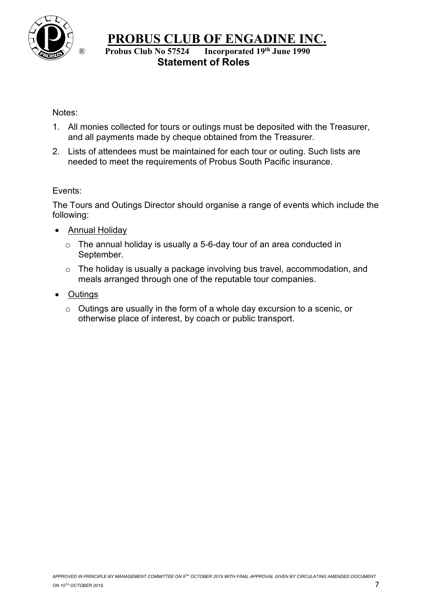

® **Probus Club No 57524 Incorporated 19th June 1990 Statement of Roles**

#### Notes:

- 1. All monies collected for tours or outings must be deposited with the Treasurer, and all payments made by cheque obtained from the Treasurer.
- 2. Lists of attendees must be maintained for each tour or outing. Such lists are needed to meet the requirements of Probus South Pacific insurance.

#### Events:

The Tours and Outings Director should organise a range of events which include the following:

- Annual Holiday
	- o The annual holiday is usually a 5-6-day tour of an area conducted in September.
	- o The holiday is usually a package involving bus travel, accommodation, and meals arranged through one of the reputable tour companies.
- Outings
	- o Outings are usually in the form of a whole day excursion to a scenic, or otherwise place of interest, by coach or public transport.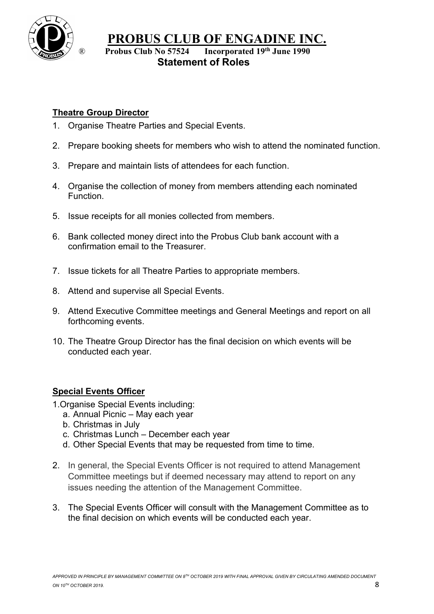

® **Probus Club No 57524 Incorporated 19th June 1990 Statement of Roles**

# <span id="page-7-0"></span>**Theatre Group Director**

- 1. Organise Theatre Parties and Special Events.
- 2. Prepare booking sheets for members who wish to attend the nominated function.
- 3. Prepare and maintain lists of attendees for each function.
- 4. Organise the collection of money from members attending each nominated Function.
- 5. Issue receipts for all monies collected from members.
- 6. Bank collected money direct into the Probus Club bank account with a confirmation email to the Treasurer.
- 7. Issue tickets for all Theatre Parties to appropriate members.
- 8. Attend and supervise all Special Events.
- 9. Attend Executive Committee meetings and General Meetings and report on all forthcoming events.
- 10. The Theatre Group Director has the final decision on which events will be conducted each year.

# <span id="page-7-1"></span>**Special Events Officer**

- 1.Organise Special Events including:
	- a. Annual Picnic May each year
	- b. Christmas in July
	- c. Christmas Lunch December each year
	- d. Other Special Events that may be requested from time to time.
- 2. In general, the Special Events Officer is not required to attend Management Committee meetings but if deemed necessary may attend to report on any issues needing the attention of the Management Committee.
- 3. The Special Events Officer will consult with the Management Committee as to the final decision on which events will be conducted each year.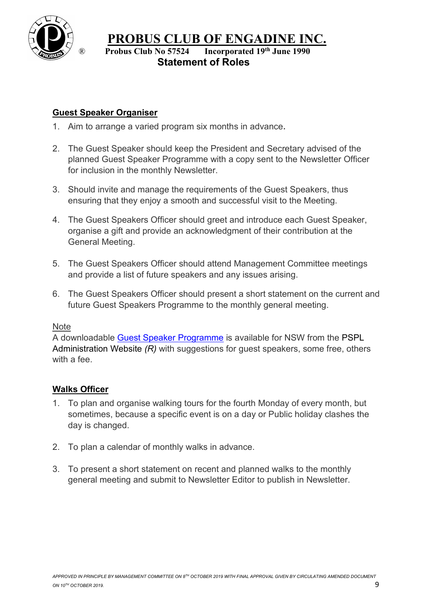

® **Probus Club No 57524 Incorporated 19th June 1990 Statement of Roles**

# <span id="page-8-0"></span>**Guest Speaker Organiser**

- 1. Aim to arrange a varied program six months in advance.
- 2. The Guest Speaker should keep the President and Secretary advised of the planned Guest Speaker Programme with a copy sent to the Newsletter Officer for inclusion in the monthly Newsletter.
- 3. Should invite and manage the requirements of the Guest Speakers, thus ensuring that they enjoy a smooth and successful visit to the Meeting.
- 4. The Guest Speakers Officer should greet and introduce each Guest Speaker, organise a gift and provide an acknowledgment of their contribution at the General Meeting.
- 5. The Guest Speakers Officer should attend Management Committee meetings and provide a list of future speakers and any issues arising.
- 6. The Guest Speakers Officer should present a short statement on the current and future Guest Speakers Programme to the monthly general meeting.

#### Note

A downloadable [Guest Speaker Programme](http://engadineprobus.org.au/index.php?option=com_content&view=article&id=182&Itemid=354) is available for NSW from the [PSPL](https://www.probussouthpacific.org/pages/club_administration_guest_speakers_list)  [Administration](https://www.probussouthpacific.org/pages/club_administration_guest_speakers_list) Website *[\(R\)](https://www.probussouthpacific.org/pages/club_administration_guest_speakers_list)* with suggestions for guest speakers, some free, others with a fee.

# <span id="page-8-1"></span>**Walks Officer**

- 1. To plan and organise walking tours for the fourth Monday of every month, but sometimes, because a specific event is on a day or Public holiday clashes the day is changed.
- 2. To plan a calendar of monthly walks in advance.
- 3. To present a short statement on recent and planned walks to the monthly general meeting and submit to Newsletter Editor to publish in Newsletter.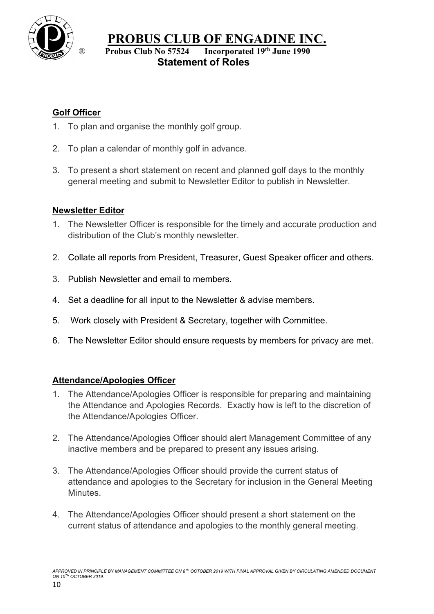

® **Probus Club No 57524 Incorporated 19th June 1990 Statement of Roles**

# <span id="page-9-0"></span>**Golf Officer**

- 1. To plan and organise the monthly golf group.
- 2. To plan a calendar of monthly golf in advance.
- 3. To present a short statement on recent and planned golf days to the monthly general meeting and submit to Newsletter Editor to publish in Newsletter.

# <span id="page-9-1"></span>**Newsletter Editor**

- 1. The Newsletter Officer is responsible for the timely and accurate production and distribution of the Club's monthly newsletter.
- 2. Collate all reports from President, Treasurer, Guest Speaker officer and others.
- 3. Publish Newsletter and email to members.
- 4. Set a deadline for all input to the Newsletter & advise members.
- 5. Work closely with President & Secretary, together with Committee.
- 6. The Newsletter Editor should ensure requests by members for privacy are met.

#### <span id="page-9-2"></span>**Attendance/Apologies Officer**

- 1. The Attendance/Apologies Officer is responsible for preparing and maintaining the Attendance and Apologies Records. Exactly how is left to the discretion of the Attendance/Apologies Officer.
- 2. The Attendance/Apologies Officer should alert Management Committee of any inactive members and be prepared to present any issues arising.
- 3. The Attendance/Apologies Officer should provide the current status of attendance and apologies to the Secretary for inclusion in the General Meeting Minutes.
- 4. The Attendance/Apologies Officer should present a short statement on the current status of attendance and apologies to the monthly general meeting.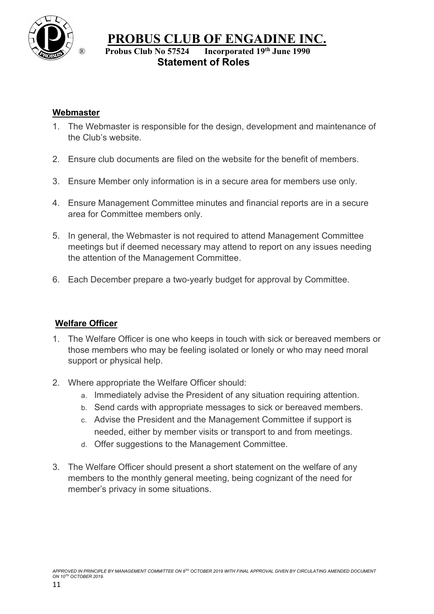

# ® **Probus Club No 57524 Incorporated 19th June 1990 Statement of Roles**

#### <span id="page-10-0"></span>**Webmaster**

- 1. The Webmaster is responsible for the design, development and maintenance of the Club's website.
- 2. Ensure club documents are filed on the website for the benefit of members.
- 3. Ensure Member only information is in a secure area for members use only.
- 4. Ensure Management Committee minutes and financial reports are in a secure area for Committee members only.
- 5. In general, the Webmaster is not required to attend Management Committee meetings but if deemed necessary may attend to report on any issues needing the attention of the Management Committee.
- 6. Each December prepare a two-yearly budget for approval by Committee.

#### <span id="page-10-1"></span>**Welfare Officer**

- 1. The Welfare Officer is one who keeps in touch with sick or bereaved members or those members who may be feeling isolated or lonely or who may need moral support or physical help.
- 2. Where appropriate the Welfare Officer should:
	- a. Immediately advise the President of any situation requiring attention.
	- b. Send cards with appropriate messages to sick or bereaved members.
	- c. Advise the President and the Management Committee if support is needed, either by member visits or transport to and from meetings.
	- d. Offer suggestions to the Management Committee.
- 3. The Welfare Officer should present a short statement on the welfare of any members to the monthly general meeting, being cognizant of the need for member's privacy in some situations.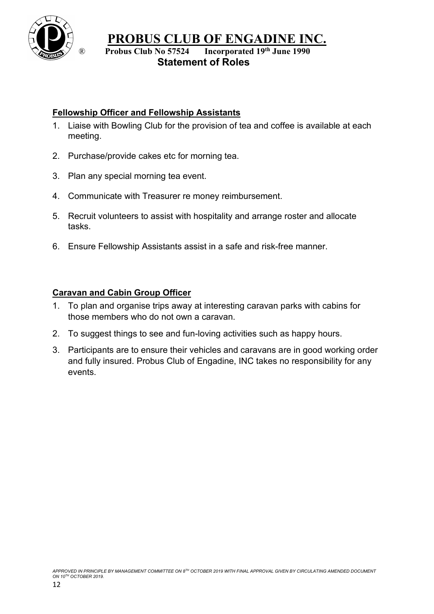

® **Probus Club No 57524 Incorporated 19th June 1990 Statement of Roles**

# <span id="page-11-0"></span>**Fellowship Officer and Fellowship Assistants**

- 1. Liaise with Bowling Club for the provision of tea and coffee is available at each meeting.
- 2. Purchase/provide cakes etc for morning tea.
- 3. Plan any special morning tea event.
- 4. Communicate with Treasurer re money reimbursement.
- 5. Recruit volunteers to assist with hospitality and arrange roster and allocate tasks.
- 6. Ensure Fellowship Assistants assist in a safe and risk-free manner.

# <span id="page-11-1"></span>**Caravan and Cabin Group Officer**

- 1. To plan and organise trips away at interesting caravan parks with cabins for those members who do not own a caravan.
- 2. To suggest things to see and fun-loving activities such as happy hours.
- 3. Participants are to ensure their vehicles and caravans are in good working order and fully insured. Probus Club of Engadine, INC takes no responsibility for any events.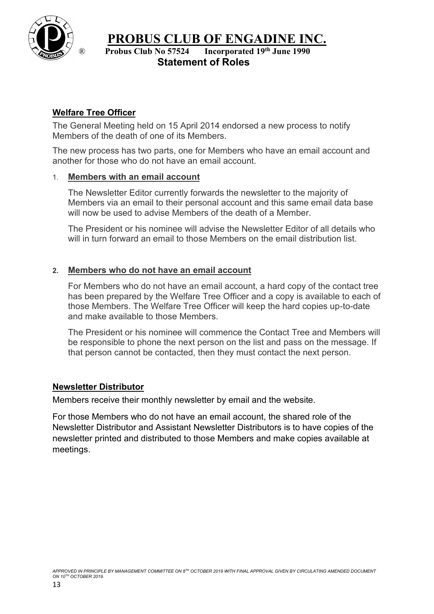

® **Probus Club No 57524 Incorporated 19th June 1990 Statement of Roles**

# <span id="page-12-0"></span>**Welfare Tree Officer**

The General Meeting held on 15 April 2014 endorsed a new process to notify Members of the death of one of its Members.

The new process has two parts, one for Members who have an email account and another for those who do not have an email account.

#### 1. **Members with an email account**

The Newsletter Editor currently forwards the newsletter to the majority of Members via an email to their personal account and this same email data base will now be used to advise Members of the death of a Member.

The President or his nominee will advise the Newsletter Editor of all details who will in turn forward an email to those Members on the email distribution list.

#### **2. Members who do not have an email account**

For Members who do not have an email account, a hard copy of the contact tree has been prepared by the Welfare Tree Officer and a copy is available to each of those Members. The Welfare Tree Officer will keep the hard copies up-to-date and make available to those Members.

The President or his nominee will commence the Contact Tree and Members will be responsible to phone the next person on the list and pass on the message. If that person cannot be contacted, then they must contact the next person.

#### <span id="page-12-1"></span>**Newsletter Distributor**

Members receive their monthly newsletter by email and the website.

For those Members who do not have an email account, the shared role of the Newsletter Distributor and Assistant Newsletter Distributors is to have copies of the newsletter printed and distributed to those Members and make copies available at meetings.